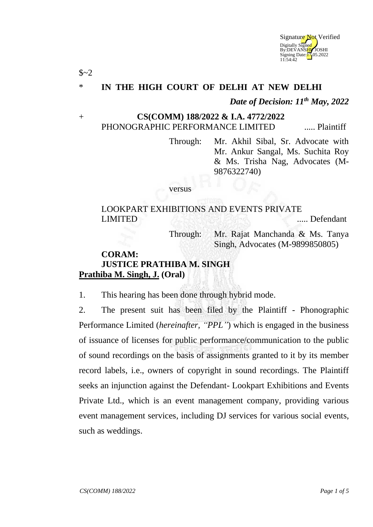

### \* **IN THE HIGH COURT OF DELHI AT NEW DELHI**

*Date of Decision: 11th May, 2022*

#### + **CS(COMM) 188/2022 & I.A. 4772/2022** PHONOGRAPHIC PERFORMANCE LIMITED ...... Plaintiff

Through: Mr. Akhil Sibal, Sr. Advocate with Mr. Ankur Sangal, Ms. Suchita Roy & Ms. Trisha Nag, Advocates (M-9876322740)

versus

# LOOKPART EXHIBITIONS AND EVENTS PRIVATE LIMITED ..... Defendant

Through: Mr. Rajat Manchanda & Ms. Tanya Singh, Advocates (M-9899850805)

### **CORAM: JUSTICE PRATHIBA M. SINGH Prathiba M. Singh, J. (Oral)**

1. This hearing has been done through hybrid mode.

2. The present suit has been filed by the Plaintiff - Phonographic Performance Limited (*hereinafter, "PPL"*) which is engaged in the business of issuance of licenses for public performance/communication to the public of sound recordings on the basis of assignments granted to it by its member record labels, i.e., owners of copyright in sound recordings. The Plaintiff seeks an injunction against the Defendant- Lookpart Exhibitions and Events Private Ltd., which is an event management company, providing various event management services, including DJ services for various social events, such as weddings.

 $$~2$$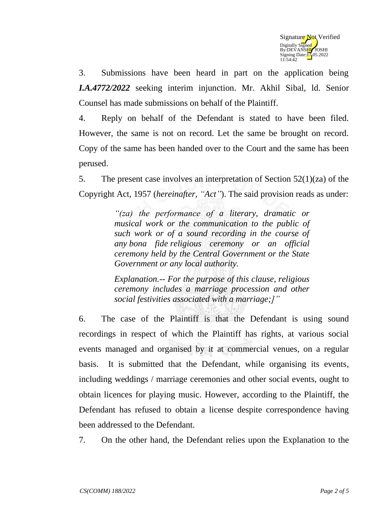

3. Submissions have been heard in part on the application being *I.A.4772/2022* seeking interim injunction. Mr. Akhil Sibal, ld. Senior Counsel has made submissions on behalf of the Plaintiff.

4. Reply on behalf of the Defendant is stated to have been filed. However, the same is not on record. Let the same be brought on record. Copy of the same has been handed over to the Court and the same has been perused.

5. The present case involves an interpretation of Section 52(1)(za) of the Copyright Act, 1957 (*hereinafter, "Act"*). The said provision reads as under:

> *"(za) the performance of a literary, dramatic or musical work or the communication to the public of such work or of a sound recording in the course of any bona fide religious ceremony or an official ceremony held by the Central Government or the State Government or any local authority.*

> *Explanation.-- For the purpose of this clause, religious ceremony includes a marriage procession and other social festivities associated with a marriage;]"*

6. The case of the Plaintiff is that the Defendant is using sound recordings in respect of which the Plaintiff has rights, at various social events managed and organised by it at commercial venues, on a regular basis. It is submitted that the Defendant, while organising its events, including weddings / marriage ceremonies and other social events, ought to obtain licences for playing music. However, according to the Plaintiff, the Defendant has refused to obtain a license despite correspondence having been addressed to the Defendant.

7. On the other hand, the Defendant relies upon the Explanation to the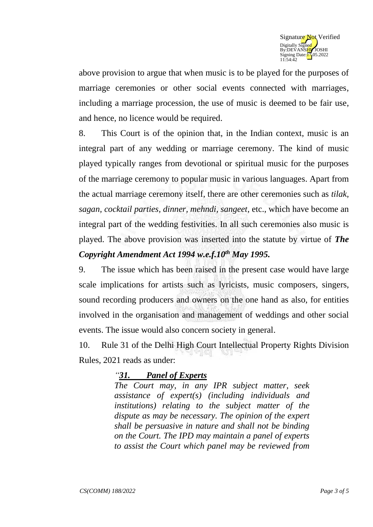

above provision to argue that when music is to be played for the purposes of marriage ceremonies or other social events connected with marriages, including a marriage procession, the use of music is deemed to be fair use, and hence, no licence would be required.

8. This Court is of the opinion that, in the Indian context, music is an integral part of any wedding or marriage ceremony. The kind of music played typically ranges from devotional or spiritual music for the purposes of the marriage ceremony to popular music in various languages. Apart from the actual marriage ceremony itself, there are other ceremonies such as *tilak, sagan, cocktail parties, dinner, mehndi, sangeet,* etc., which have become an integral part of the wedding festivities. In all such ceremonies also music is played. The above provision was inserted into the statute by virtue of *The Copyright Amendment Act 1994 w.e.f.10th May 1995.*

9. The issue which has been raised in the present case would have large scale implications for artists such as lyricists, music composers, singers, sound recording producers and owners on the one hand as also, for entities involved in the organisation and management of weddings and other social events. The issue would also concern society in general.

10. Rule 31 of the Delhi High Court Intellectual Property Rights Division Rules, 2021 reads as under:

## *"31. Panel of Experts*

*The Court may, in any IPR subject matter, seek assistance of expert(s) (including individuals and institutions) relating to the subject matter of the dispute as may be necessary. The opinion of the expert shall be persuasive in nature and shall not be binding on the Court. The IPD may maintain a panel of experts to assist the Court which panel may be reviewed from*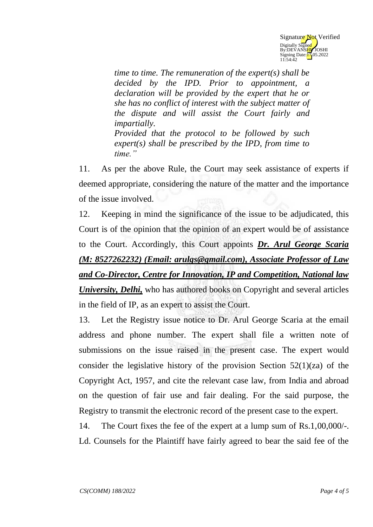

*time to time. The remuneration of the expert(s) shall be decided by the IPD. Prior to appointment, a declaration will be provided by the expert that he or she has no conflict of interest with the subject matter of the dispute and will assist the Court fairly and impartially. Provided that the protocol to be followed by such expert(s) shall be prescribed by the IPD, from time to time."*

11. As per the above Rule, the Court may seek assistance of experts if deemed appropriate, considering the nature of the matter and the importance of the issue involved.

12. Keeping in mind the significance of the issue to be adjudicated, this Court is of the opinion that the opinion of an expert would be of assistance to the Court. Accordingly, this Court appoints *Dr. Arul George Scaria (M: 8527262232) (Email: arulgs@gmail.com), Associate Professor of Law and Co-Director, Centre for Innovation, IP and Competition, National law University, Delhi,* who has authored books on Copyright and several articles in the field of IP, as an expert to assist the Court.

13. Let the Registry issue notice to Dr. Arul George Scaria at the email address and phone number. The expert shall file a written note of submissions on the issue raised in the present case. The expert would consider the legislative history of the provision Section  $52(1)(za)$  of the Copyright Act, 1957, and cite the relevant case law, from India and abroad on the question of fair use and fair dealing. For the said purpose, the Registry to transmit the electronic record of the present case to the expert.

14. The Court fixes the fee of the expert at a lump sum of Rs.1,00,000/-. Ld. Counsels for the Plaintiff have fairly agreed to bear the said fee of the